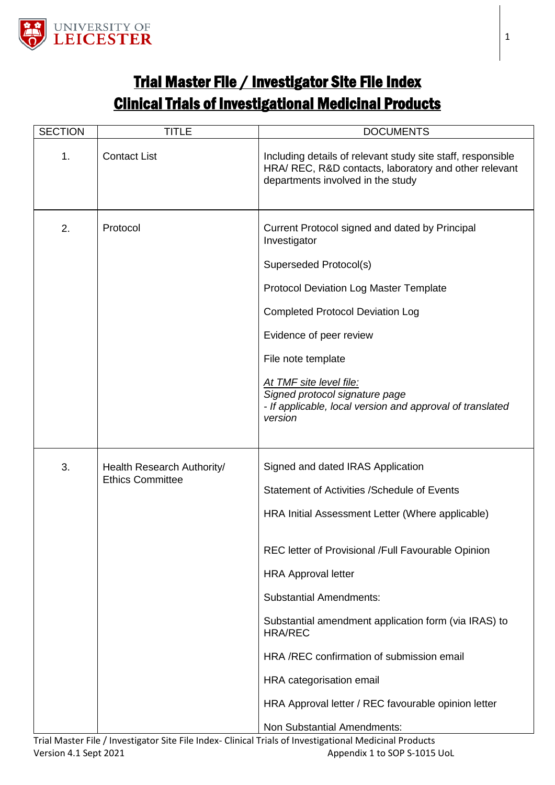

## Trial Master File / Investigator Site File Index Clinical Trials of Investigational Medicinal Products

| <b>SECTION</b> | <b>TITLE</b>                                          | <b>DOCUMENTS</b>                                                                                                                                                                                                                                                                                                                                                                                                                                                                                     |
|----------------|-------------------------------------------------------|------------------------------------------------------------------------------------------------------------------------------------------------------------------------------------------------------------------------------------------------------------------------------------------------------------------------------------------------------------------------------------------------------------------------------------------------------------------------------------------------------|
| 1.             | <b>Contact List</b>                                   | Including details of relevant study site staff, responsible<br>HRA/ REC, R&D contacts, laboratory and other relevant<br>departments involved in the study                                                                                                                                                                                                                                                                                                                                            |
| 2.             | Protocol                                              | Current Protocol signed and dated by Principal<br>Investigator<br>Superseded Protocol(s)<br><b>Protocol Deviation Log Master Template</b><br><b>Completed Protocol Deviation Log</b><br>Evidence of peer review<br>File note template<br>At TMF site level file:<br>Signed protocol signature page<br>- If applicable, local version and approval of translated<br>version                                                                                                                           |
| 3.             | Health Research Authority/<br><b>Ethics Committee</b> | Signed and dated IRAS Application<br>Statement of Activities / Schedule of Events<br>HRA Initial Assessment Letter (Where applicable)<br>REC letter of Provisional /Full Favourable Opinion<br><b>HRA Approval letter</b><br><b>Substantial Amendments:</b><br>Substantial amendment application form (via IRAS) to<br><b>HRA/REC</b><br>HRA /REC confirmation of submission email<br>HRA categorisation email<br>HRA Approval letter / REC favourable opinion letter<br>Non Substantial Amendments: |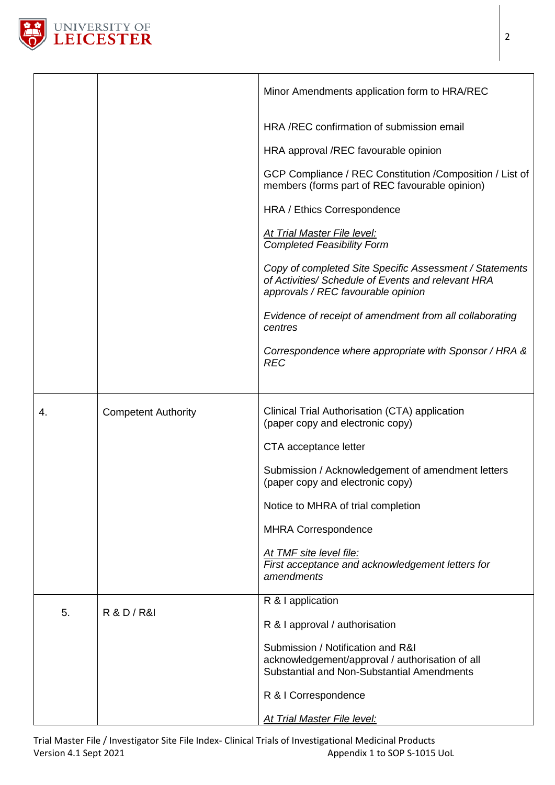

|    |                            | Minor Amendments application form to HRA/REC                                                                                                        |
|----|----------------------------|-----------------------------------------------------------------------------------------------------------------------------------------------------|
|    |                            | HRA/REC confirmation of submission email                                                                                                            |
|    |                            | HRA approval /REC favourable opinion                                                                                                                |
|    |                            | GCP Compliance / REC Constitution / Composition / List of<br>members (forms part of REC favourable opinion)                                         |
|    |                            | HRA / Ethics Correspondence                                                                                                                         |
|    |                            | <b>At Trial Master File level:</b><br><b>Completed Feasibility Form</b>                                                                             |
|    |                            | Copy of completed Site Specific Assessment / Statements<br>of Activities/ Schedule of Events and relevant HRA<br>approvals / REC favourable opinion |
|    |                            | Evidence of receipt of amendment from all collaborating<br>centres                                                                                  |
|    |                            | Correspondence where appropriate with Sponsor / HRA &<br><b>REC</b>                                                                                 |
|    |                            |                                                                                                                                                     |
| 4. | <b>Competent Authority</b> | Clinical Trial Authorisation (CTA) application<br>(paper copy and electronic copy)                                                                  |
|    |                            | CTA acceptance letter                                                                                                                               |
|    |                            | Submission / Acknowledgement of amendment letters<br>(paper copy and electronic copy)                                                               |
|    |                            | Notice to MHRA of trial completion                                                                                                                  |
|    |                            | <b>MHRA Correspondence</b>                                                                                                                          |
|    |                            | At TMF site level file:<br>First acceptance and acknowledgement letters for<br>amendments                                                           |
| 5. |                            | R & I application                                                                                                                                   |
|    | <b>R &amp; D / R&amp;I</b> | R & I approval / authorisation                                                                                                                      |
|    |                            | Submission / Notification and R&I<br>acknowledgement/approval / authorisation of all<br>Substantial and Non-Substantial Amendments                  |
|    |                            | R & I Correspondence                                                                                                                                |
|    |                            | <b>At Trial Master File level:</b>                                                                                                                  |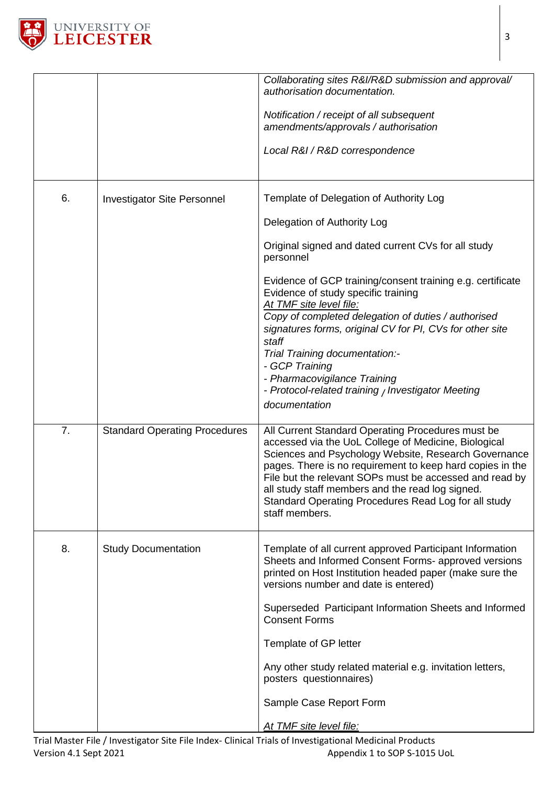

|                  |                                      | Collaborating sites R&I/R&D submission and approval/<br>authorisation documentation.                                                                                                                                                                                                                                                                                                                                    |
|------------------|--------------------------------------|-------------------------------------------------------------------------------------------------------------------------------------------------------------------------------------------------------------------------------------------------------------------------------------------------------------------------------------------------------------------------------------------------------------------------|
|                  |                                      | Notification / receipt of all subsequent<br>amendments/approvals / authorisation                                                                                                                                                                                                                                                                                                                                        |
|                  |                                      | Local R&I / R&D correspondence                                                                                                                                                                                                                                                                                                                                                                                          |
| 6.               | <b>Investigator Site Personnel</b>   | Template of Delegation of Authority Log                                                                                                                                                                                                                                                                                                                                                                                 |
|                  |                                      | Delegation of Authority Log                                                                                                                                                                                                                                                                                                                                                                                             |
|                  |                                      | Original signed and dated current CVs for all study<br>personnel                                                                                                                                                                                                                                                                                                                                                        |
|                  |                                      | Evidence of GCP training/consent training e.g. certificate<br>Evidence of study specific training<br>At TMF site level file:<br>Copy of completed delegation of duties / authorised<br>signatures forms, original CV for PI, CVs for other site<br>staff<br>Trial Training documentation:-<br>- GCP Training<br>- Pharmacovigilance Training<br>- Protocol-related training / Investigator Meeting<br>documentation     |
| $\overline{7}$ . | <b>Standard Operating Procedures</b> | All Current Standard Operating Procedures must be<br>accessed via the UoL College of Medicine, Biological<br>Sciences and Psychology Website, Research Governance<br>pages. There is no requirement to keep hard copies in the<br>File but the relevant SOPs must be accessed and read by<br>all study staff members and the read log signed.<br>Standard Operating Procedures Read Log for all study<br>staff members. |
| 8.               | <b>Study Documentation</b>           | Template of all current approved Participant Information<br>Sheets and Informed Consent Forms- approved versions<br>printed on Host Institution headed paper (make sure the<br>versions number and date is entered)                                                                                                                                                                                                     |
|                  |                                      | Superseded Participant Information Sheets and Informed<br><b>Consent Forms</b>                                                                                                                                                                                                                                                                                                                                          |
|                  |                                      | Template of GP letter                                                                                                                                                                                                                                                                                                                                                                                                   |
|                  |                                      | Any other study related material e.g. invitation letters,<br>posters questionnaires)                                                                                                                                                                                                                                                                                                                                    |
|                  |                                      | Sample Case Report Form                                                                                                                                                                                                                                                                                                                                                                                                 |
|                  |                                      | At TMF site level file:                                                                                                                                                                                                                                                                                                                                                                                                 |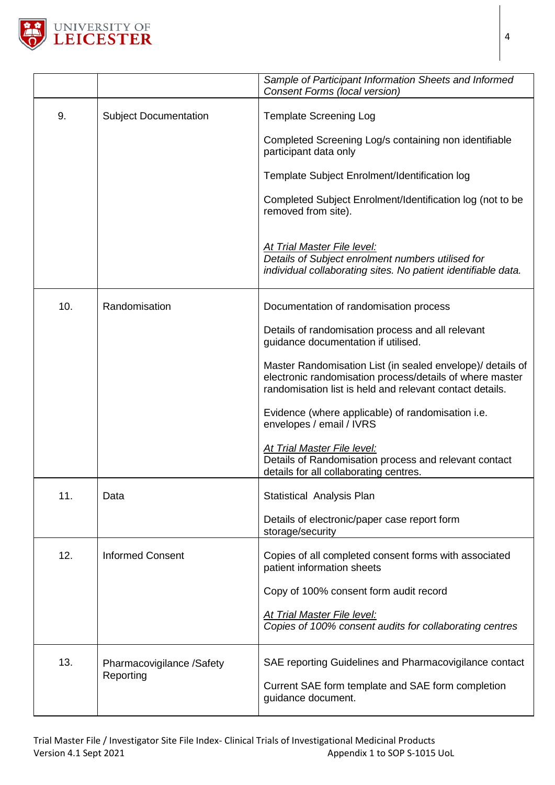

|     |                                        | Sample of Participant Information Sheets and Informed<br>Consent Forms (local version)                                                                                             |
|-----|----------------------------------------|------------------------------------------------------------------------------------------------------------------------------------------------------------------------------------|
| 9.  | <b>Subject Documentation</b>           | <b>Template Screening Log</b>                                                                                                                                                      |
|     |                                        | Completed Screening Log/s containing non identifiable<br>participant data only                                                                                                     |
|     |                                        | Template Subject Enrolment/Identification log                                                                                                                                      |
|     |                                        | Completed Subject Enrolment/Identification log (not to be<br>removed from site).                                                                                                   |
|     |                                        | At Trial Master File level:<br>Details of Subject enrolment numbers utilised for<br>individual collaborating sites. No patient identifiable data.                                  |
| 10. | Randomisation                          | Documentation of randomisation process                                                                                                                                             |
|     |                                        | Details of randomisation process and all relevant<br>guidance documentation if utilised.                                                                                           |
|     |                                        | Master Randomisation List (in sealed envelope)/ details of<br>electronic randomisation process/details of where master<br>randomisation list is held and relevant contact details. |
|     |                                        | Evidence (where applicable) of randomisation i.e.<br>envelopes / email / IVRS                                                                                                      |
|     |                                        | At Trial Master File level:<br>Details of Randomisation process and relevant contact<br>details for all collaborating centres.                                                     |
| 11. | Data                                   | Statistical Analysis Plan                                                                                                                                                          |
|     |                                        | Details of electronic/paper case report form<br>storage/security                                                                                                                   |
| 12. | <b>Informed Consent</b>                | Copies of all completed consent forms with associated<br>patient information sheets                                                                                                |
|     |                                        | Copy of 100% consent form audit record                                                                                                                                             |
|     |                                        | At Trial Master File level:<br>Copies of 100% consent audits for collaborating centres                                                                                             |
| 13. | Pharmacovigilance /Safety<br>Reporting | SAE reporting Guidelines and Pharmacovigilance contact                                                                                                                             |
|     |                                        | Current SAE form template and SAE form completion<br>guidance document.                                                                                                            |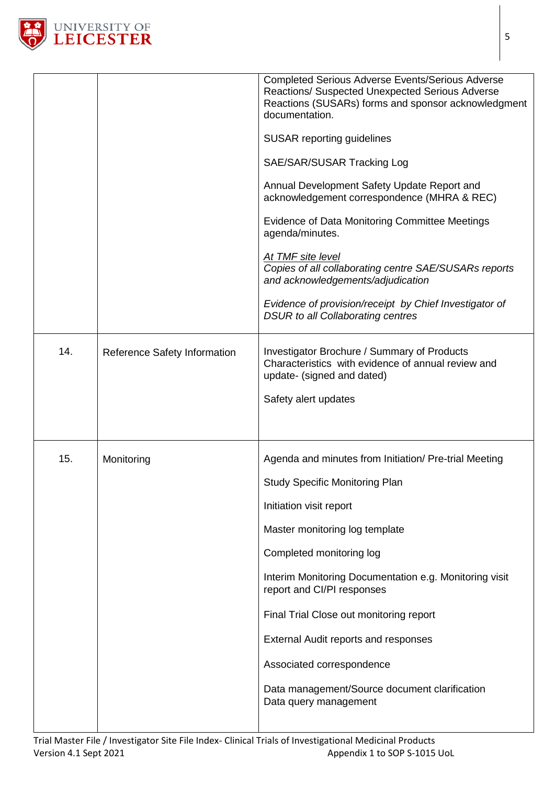

|     |                              | <b>Completed Serious Adverse Events/Serious Adverse</b><br>Reactions/ Suspected Unexpected Serious Adverse<br>Reactions (SUSARs) forms and sponsor acknowledgment<br>documentation.<br><b>SUSAR reporting guidelines</b><br>SAE/SAR/SUSAR Tracking Log<br>Annual Development Safety Update Report and<br>acknowledgement correspondence (MHRA & REC)<br>Evidence of Data Monitoring Committee Meetings<br>agenda/minutes.<br>At TMF site level<br>Copies of all collaborating centre SAE/SUSARs reports<br>and acknowledgements/adjudication<br>Evidence of provision/receipt by Chief Investigator of<br><b>DSUR to all Collaborating centres</b> |
|-----|------------------------------|----------------------------------------------------------------------------------------------------------------------------------------------------------------------------------------------------------------------------------------------------------------------------------------------------------------------------------------------------------------------------------------------------------------------------------------------------------------------------------------------------------------------------------------------------------------------------------------------------------------------------------------------------|
| 14. | Reference Safety Information | <b>Investigator Brochure / Summary of Products</b><br>Characteristics with evidence of annual review and<br>update- (signed and dated)<br>Safety alert updates                                                                                                                                                                                                                                                                                                                                                                                                                                                                                     |
| 15. | Monitoring                   | Agenda and minutes from Initiation/ Pre-trial Meeting<br><b>Study Specific Monitoring Plan</b><br>Initiation visit report<br>Master monitoring log template<br>Completed monitoring log<br>Interim Monitoring Documentation e.g. Monitoring visit<br>report and CI/PI responses<br>Final Trial Close out monitoring report<br><b>External Audit reports and responses</b><br>Associated correspondence<br>Data management/Source document clarification<br>Data query management                                                                                                                                                                   |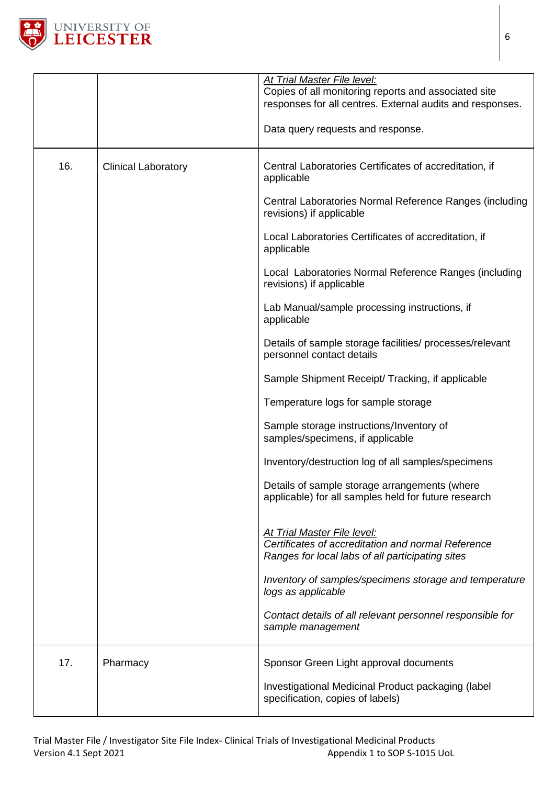

|     |                            | At Trial Master File level:<br>Copies of all monitoring reports and associated site<br>responses for all centres. External audits and responses.<br>Data query requests and response. |
|-----|----------------------------|---------------------------------------------------------------------------------------------------------------------------------------------------------------------------------------|
| 16. | <b>Clinical Laboratory</b> | Central Laboratories Certificates of accreditation, if<br>applicable                                                                                                                  |
|     |                            | Central Laboratories Normal Reference Ranges (including<br>revisions) if applicable                                                                                                   |
|     |                            | Local Laboratories Certificates of accreditation, if<br>applicable                                                                                                                    |
|     |                            | Local Laboratories Normal Reference Ranges (including<br>revisions) if applicable                                                                                                     |
|     |                            | Lab Manual/sample processing instructions, if<br>applicable                                                                                                                           |
|     |                            | Details of sample storage facilities/ processes/relevant<br>personnel contact details                                                                                                 |
|     |                            | Sample Shipment Receipt/ Tracking, if applicable                                                                                                                                      |
|     |                            | Temperature logs for sample storage                                                                                                                                                   |
|     |                            | Sample storage instructions/Inventory of<br>samples/specimens, if applicable                                                                                                          |
|     |                            | Inventory/destruction log of all samples/specimens                                                                                                                                    |
|     |                            | Details of sample storage arrangements (where<br>applicable) for all samples held for future research                                                                                 |
|     |                            | At Trial Master File level:<br>Certificates of accreditation and normal Reference<br>Ranges for local labs of all participating sites                                                 |
|     |                            | Inventory of samples/specimens storage and temperature<br>logs as applicable                                                                                                          |
|     |                            | Contact details of all relevant personnel responsible for<br>sample management                                                                                                        |
| 17. | Pharmacy                   | Sponsor Green Light approval documents                                                                                                                                                |
|     |                            | Investigational Medicinal Product packaging (label<br>specification, copies of labels)                                                                                                |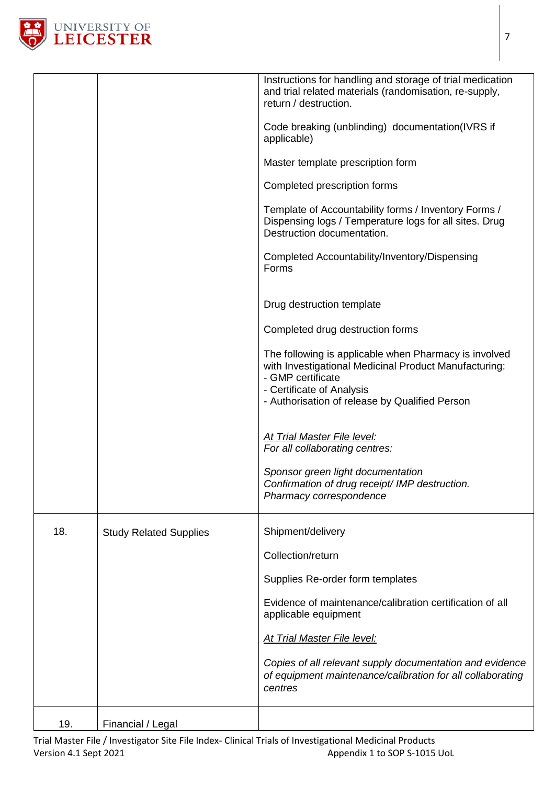

|     |                               | Instructions for handling and storage of trial medication<br>and trial related materials (randomisation, re-supply,<br>return / destruction.<br>Code breaking (unblinding) documentation(IVRS if<br>applicable)<br>Master template prescription form<br>Completed prescription forms<br>Template of Accountability forms / Inventory Forms /<br>Dispensing logs / Temperature logs for all sites. Drug<br>Destruction documentation.<br>Completed Accountability/Inventory/Dispensing<br>Forms<br>Drug destruction template<br>Completed drug destruction forms<br>The following is applicable when Pharmacy is involved<br>with Investigational Medicinal Product Manufacturing:<br>- GMP certificate<br>- Certificate of Analysis<br>- Authorisation of release by Qualified Person<br>At Trial Master File level:<br>For all collaborating centres:<br>Sponsor green light documentation |
|-----|-------------------------------|---------------------------------------------------------------------------------------------------------------------------------------------------------------------------------------------------------------------------------------------------------------------------------------------------------------------------------------------------------------------------------------------------------------------------------------------------------------------------------------------------------------------------------------------------------------------------------------------------------------------------------------------------------------------------------------------------------------------------------------------------------------------------------------------------------------------------------------------------------------------------------------------|
|     |                               | Pharmacy correspondence                                                                                                                                                                                                                                                                                                                                                                                                                                                                                                                                                                                                                                                                                                                                                                                                                                                                     |
| 18. | <b>Study Related Supplies</b> | Shipment/delivery                                                                                                                                                                                                                                                                                                                                                                                                                                                                                                                                                                                                                                                                                                                                                                                                                                                                           |
|     |                               | Collection/return                                                                                                                                                                                                                                                                                                                                                                                                                                                                                                                                                                                                                                                                                                                                                                                                                                                                           |
|     |                               | Supplies Re-order form templates                                                                                                                                                                                                                                                                                                                                                                                                                                                                                                                                                                                                                                                                                                                                                                                                                                                            |
|     |                               | Evidence of maintenance/calibration certification of all<br>applicable equipment                                                                                                                                                                                                                                                                                                                                                                                                                                                                                                                                                                                                                                                                                                                                                                                                            |
|     |                               | <b>At Trial Master File level:</b>                                                                                                                                                                                                                                                                                                                                                                                                                                                                                                                                                                                                                                                                                                                                                                                                                                                          |
|     |                               | Copies of all relevant supply documentation and evidence<br>of equipment maintenance/calibration for all collaborating<br>centres                                                                                                                                                                                                                                                                                                                                                                                                                                                                                                                                                                                                                                                                                                                                                           |
| 19. | Financial / Legal             |                                                                                                                                                                                                                                                                                                                                                                                                                                                                                                                                                                                                                                                                                                                                                                                                                                                                                             |